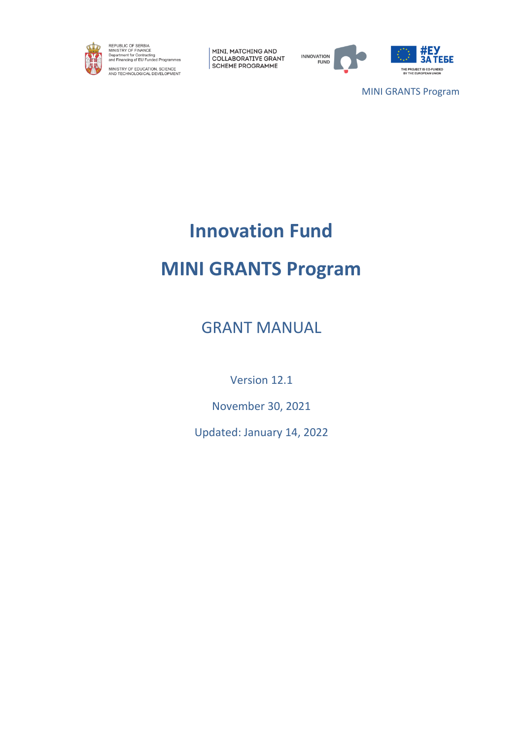

REPUBLIC OF SERBIA<br>MINISTRY OF FINANCE<br>Department for Contracting<br>and Financing of EU Funded Programmes MINISTRY OF EDUCATION, SCIENCE<br>AND TECHNOLOGICAL DEVELOPMENT

MINI, MATCHING AND COLLABORATIVE GRANT **SCHEME PROGRAMME** 



MINI GRANTS Program

# **Innovation Fund**

# **MINI GRANTS Program**

GRANT MANUAL

Version 12.1

November 30, 2021

Updated: January 14, 2022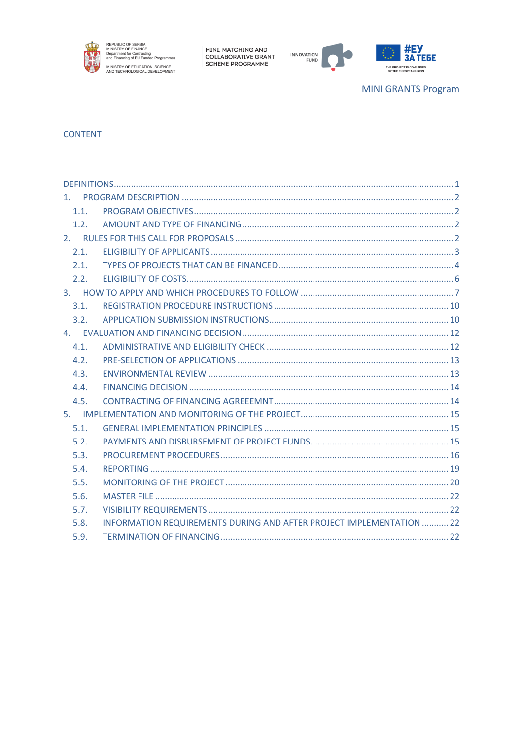





**MINI GRANTS Program** 

## **CONTENT**

| 1.1. |                                                                      |  |
|------|----------------------------------------------------------------------|--|
| 1.2. |                                                                      |  |
|      |                                                                      |  |
| 2.1. |                                                                      |  |
| 2.1. |                                                                      |  |
| 2.2. |                                                                      |  |
|      |                                                                      |  |
| 3.1. |                                                                      |  |
| 3.2. |                                                                      |  |
|      |                                                                      |  |
| 4.1. |                                                                      |  |
| 4.2. |                                                                      |  |
| 4.3. |                                                                      |  |
| 4.4. |                                                                      |  |
| 4.5. |                                                                      |  |
|      |                                                                      |  |
| 5.1. |                                                                      |  |
| 5.2. |                                                                      |  |
| 5.3. |                                                                      |  |
| 5.4. |                                                                      |  |
| 5.5. |                                                                      |  |
| 5.6. |                                                                      |  |
| 5.7. |                                                                      |  |
| 5.8. | INFORMATION REQUIREMENTS DURING AND AFTER PROJECT IMPLEMENTATION  22 |  |
| 5.9. |                                                                      |  |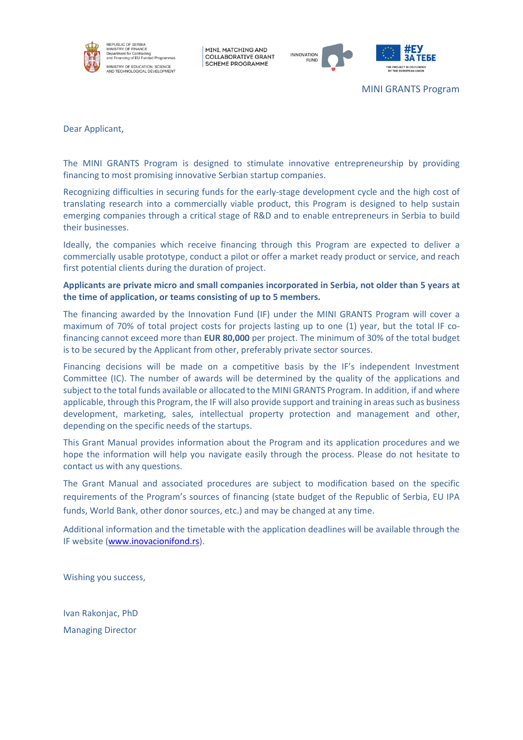



MINI GRANTS Program

Dear Applicant,

The MINI GRANTS Program is designed to stimulate innovative entrepreneurship by providing financing to most promising innovative Serbian startup companies.

Recognizing difficulties in securing funds for the early-stage development cycle and the high cost of translating research into a commercially viable product, this Program is designed to help sustain emerging companies through a critical stage of R&D and to enable entrepreneurs in Serbia to build their businesses.

Ideally, the companies which receive financing through this Program are expected to deliver a commercially usable prototype, conduct a pilot or offer a market ready product or service, and reach first potential clients during the duration of project.

**Applicants are private micro and small companies incorporated in Serbia, not older than 5 years at the time of application, or teams consisting of up to 5 members.**

The financing awarded by the Innovation Fund (IF) under the MINI GRANTS Program will cover a maximum of 70% of total project costs for projects lasting up to one (1) year, but the total IF cofinancing cannot exceed more than **EUR 80,000** per project. The minimum of 30% of the total budget is to be secured by the Applicant from other, preferably private sector sources.

Financing decisions will be made on a competitive basis by the IF's independent Investment Committee (IC). The number of awards will be determined by the quality of the applications and subject to the total funds available or allocated to the MINI GRANTS Program. In addition, if and where applicable, through this Program, the IF will also provide support and training in areas such as business development, marketing, sales, intellectual property protection and management and other, depending on the specific needs of the startups.

This Grant Manual provides information about the Program and its application procedures and we hope the information will help you navigate easily through the process. Please do not hesitate to contact us with any questions.

The Grant Manual and associated procedures are subject to modification based on the specific requirements of the Program's sources of financing (state budget of the Republic of Serbia, EU IPA funds, World Bank, other donor sources, etc.) and may be changed at any time.

Additional information and the timetable with the application deadlines will be available through the IF website [\(www.inovacionifond.rs\)](http://www.inovacionifond.rs/).

Wishing you success,

Ivan Rakonjac, PhD Managing Director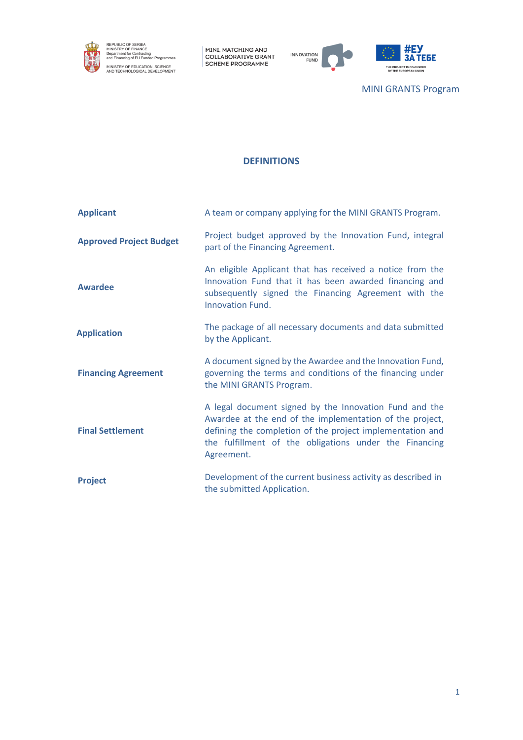

REPUBLIC OF SERBIA<br>MINISTRY OF FINANCE<br>Department for Contracting<br>and Financing of EU Funded Programmes MINISTRY OF EDUCATION, SCIENCE<br>AND TECHNOLOGICAL DEVELOPMENT

MINI, MATCHING AND<br>COLLABORATIVE GRANT<br>SCHEME PROGRAMME



MINI GRANTS Program

## **DEFINITIONS**

<span id="page-3-0"></span>

| <b>Applicant</b>               | A team or company applying for the MINI GRANTS Program.                                                                                                                                                                                                 |
|--------------------------------|---------------------------------------------------------------------------------------------------------------------------------------------------------------------------------------------------------------------------------------------------------|
| <b>Approved Project Budget</b> | Project budget approved by the Innovation Fund, integral<br>part of the Financing Agreement.                                                                                                                                                            |
| <b>Awardee</b>                 | An eligible Applicant that has received a notice from the<br>Innovation Fund that it has been awarded financing and<br>subsequently signed the Financing Agreement with the<br><b>Innovation Fund.</b>                                                  |
| <b>Application</b>             | The package of all necessary documents and data submitted<br>by the Applicant.                                                                                                                                                                          |
| <b>Financing Agreement</b>     | A document signed by the Awardee and the Innovation Fund,<br>governing the terms and conditions of the financing under<br>the MINI GRANTS Program.                                                                                                      |
| <b>Final Settlement</b>        | A legal document signed by the Innovation Fund and the<br>Awardee at the end of the implementation of the project,<br>defining the completion of the project implementation and<br>the fulfillment of the obligations under the Financing<br>Agreement. |
| <b>Project</b>                 | Development of the current business activity as described in<br>the submitted Application.                                                                                                                                                              |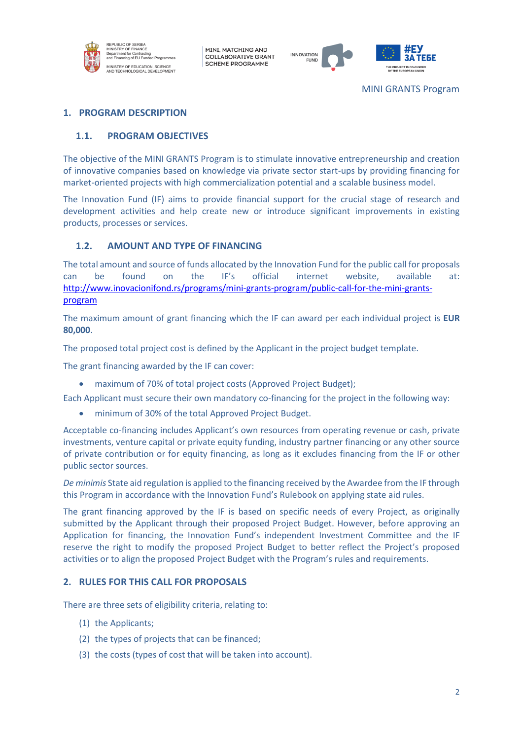



## <span id="page-4-0"></span>**1. PROGRAM DESCRIPTION**

### <span id="page-4-1"></span>**1.1. PROGRAM OBJECTIVES**

The objective of the MINI GRANTS Program is to stimulate innovative entrepreneurship and creation of innovative companies based on knowledge via private sector start-ups by providing financing for market-oriented projects with high commercialization potential and a scalable business model.

The Innovation Fund (IF) aims to provide financial support for the crucial stage of research and development activities and help create new or introduce significant improvements in existing products, processes or services.

#### <span id="page-4-2"></span>**1.2. AMOUNT AND TYPE OF FINANCING**

The total amount and source of funds allocated by the Innovation Fund for the public call for proposals can be found on the IF's official internet website, available at: [http://www.inovacionifond.rs/programs/mini-grants-program/public-call-for-the-mini-grants](http://www.inovacionifond.rs/programs/mini-grants-program/public-call-for-the-mini-grants-program)[program](http://www.inovacionifond.rs/programs/mini-grants-program/public-call-for-the-mini-grants-program)

The maximum amount of grant financing which the IF can award per each individual project is **EUR 80,000**.

The proposed total project cost is defined by the Applicant in the project budget template.

The grant financing awarded by the IF can cover:

• maximum of 70% of total project costs (Approved Project Budget);

Each Applicant must secure their own mandatory co-financing for the project in the following way:

• minimum of 30% of the total Approved Project Budget.

Acceptable co-financing includes Applicant's own resources from operating revenue or cash, private investments, venture capital or private equity funding, industry partner financing or any other source of private contribution or for equity financing, as long as it excludes financing from the IF or other public sector sources.

*De minimis* State aid regulation is applied to the financing received by the Awardee from the IF through this Program in accordance with the Innovation Fund's Rulebook on applying state aid rules.

The grant financing approved by the IF is based on specific needs of every Project, as originally submitted by the Applicant through their proposed Project Budget. However, before approving an Application for financing, the Innovation Fund's independent Investment Committee and the IF reserve the right to modify the proposed Project Budget to better reflect the Project's proposed activities or to align the proposed Project Budget with the Program's rules and requirements.

#### <span id="page-4-3"></span>**2. RULES FOR THIS CALL FOR PROPOSALS**

There are three sets of eligibility criteria, relating to:

- (1) the Applicants;
- (2) the types of projects that can be financed;
- (3) the costs (types of cost that will be taken into account).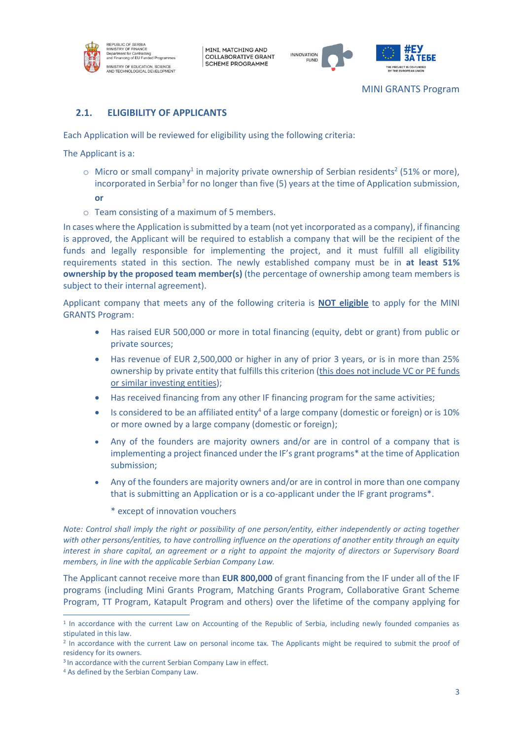



## <span id="page-5-0"></span>**2.1. ELIGIBILITY OF APPLICANTS**

Each Application will be reviewed for eligibility using the following criteria:

The Applicant is a:

- $\circ$  Micro or small company<sup>1</sup> in majority private ownership of Serbian residents<sup>2</sup> (51% or more), incorporated in Serbia<sup>3</sup> for no longer than five (5) years at the time of Application submission, **or**
- o Team consisting of a maximum of 5 members.

In cases where the Application is submitted by a team (not yet incorporated as a company), if financing is approved, the Applicant will be required to establish a company that will be the recipient of the funds and legally responsible for implementing the project, and it must fulfill all eligibility requirements stated in this section. The newly established company must be in **at least 51% ownership by the proposed team member(s)** (the percentage of ownership among team members is subject to their internal agreement).

Applicant company that meets any of the following criteria is **NOT eligible** to apply for the MINI GRANTS Program:

- Has raised EUR 500,000 or more in total financing (equity, debt or grant) from public or private sources;
- Has revenue of EUR 2,500,000 or higher in any of prior 3 years, or is in more than 25% ownership by private entity that fulfills this criterion (this does not include VC or PE funds or similar investing entities);
- Has received financing from any other IF financing program for the same activities;
- Is considered to be an affiliated entity<sup>4</sup> of a large company (domestic or foreign) or is 10% or more owned by a large company (domestic or foreign);
- Any of the founders are majority owners and/or are in control of a company that is implementing a project financed under the IF's grant programs\* at the time of Application submission;
- Any of the founders are majority owners and/or are in control in more than one company that is submitting an Application or is a co-applicant under the IF grant programs\*.
	- \* except of innovation vouchers

*Note: Control shall imply the right or possibility of one person/entity, either independently or acting together with other persons/entities, to have controlling influence on the operations of another entity through an equity interest in share capital, an agreement or a right to appoint the majority of directors or Supervisory Board members, in line with the applicable Serbian Company Law.*

The Applicant cannot receive more than **EUR 800,000** of grant financing from the IF under all of the IF programs (including Mini Grants Program, Matching Grants Program, Collaborative Grant Scheme Program, TT Program, Katapult Program and others) over the lifetime of the company applying for

<sup>&</sup>lt;sup>1</sup> In accordance with the current Law on Accounting of the Republic of Serbia, including newly founded companies as stipulated in this law.

<sup>&</sup>lt;sup>2</sup> In accordance with the current Law on personal income tax. The Applicants might be required to submit the proof of residency for its owners.

<sup>&</sup>lt;sup>3</sup> In accordance with the current Serbian Company Law in effect.

<sup>4</sup> As defined by the Serbian Company Law.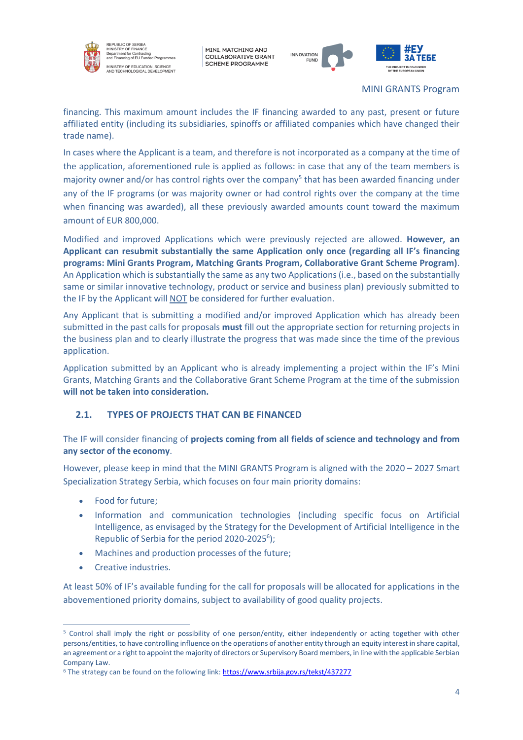

EPUBLIC OF SERBIA<br>NISTRY OF FINANCE n Union<br>Int for Co **Superintent for Contracting**<br>and Financing of EU Funded Programm .<br>IINISTRY OF EDUCATION, SCIENCE<br>ND TECHNOLOGICAL DEVELOPMENT

MINI, MATCHING AND **COLLABORATIVE GRANT SCHEME PROGRAMME** 



MINI GRANTS Program

financing. This maximum amount includes the IF financing awarded to any past, present or future affiliated entity (including its subsidiaries, spinoffs or affiliated companies which have changed their trade name).

In cases where the Applicant is a team, and therefore is not incorporated as a company at the time of the application, aforementioned rule is applied as follows: in case that any of the team members is majority owner and/or has control rights over the company<sup>5</sup> that has been awarded financing under any of the IF programs (or was majority owner or had control rights over the company at the time when financing was awarded), all these previously awarded amounts count toward the maximum amount of EUR 800,000.

Modified and improved Applications which were previously rejected are allowed. **However, an Applicant can resubmit substantially the same Application only once (regarding all IF's financing programs: Mini Grants Program, Matching Grants Program, Collaborative Grant Scheme Program)**. An Application which is substantially the same as any two Applications (i.e., based on the substantially same or similar innovative technology, product or service and business plan) previously submitted to the IF by the Applicant will NOT be considered for further evaluation.

Any Applicant that is submitting a modified and/or improved Application which has already been submitted in the past calls for proposals **must** fill out the appropriate section for returning projects in the business plan and to clearly illustrate the progress that was made since the time of the previous application.

Application submitted by an Applicant who is already implementing a project within the IF's Mini Grants, Matching Grants and the Collaborative Grant Scheme Program at the time of the submission **will not be taken into consideration.**

## <span id="page-6-0"></span>**2.1. TYPES OF PROJECTS THAT CAN BE FINANCED**

The IF will consider financing of **projects coming from all fields of science and technology and from any sector of the economy**.

However, please keep in mind that the MINI GRANTS Program is aligned with the 2020 – 2027 Smart Specialization Strategy Serbia, which focuses on four main priority domains:

- Food for future;
- Information and communication technologies (including specific focus on Artificial Intelligence, as envisaged by the Strategy for the Development of Artificial Intelligence in the Republic of Serbia for the period 2020-2025<sup>6</sup>);
- Machines and production processes of the future;
- Creative industries.

At least 50% of IF's available funding for the call for proposals will be allocated for applications in the abovementioned priority domains, subject to availability of good quality projects.

<sup>5</sup> Control shall imply the right or possibility of one person/entity, either independently or acting together with other persons/entities, to have controlling influence on the operations of another entity through an equity interest in share capital, an agreement or a right to appoint the majority of directors or Supervisory Board members, in line with the applicable Serbian Company Law.

<sup>6</sup> The strategy can be found on the following link[: https://www.srbija.gov.rs/tekst/437277](https://www.srbija.gov.rs/tekst/437277)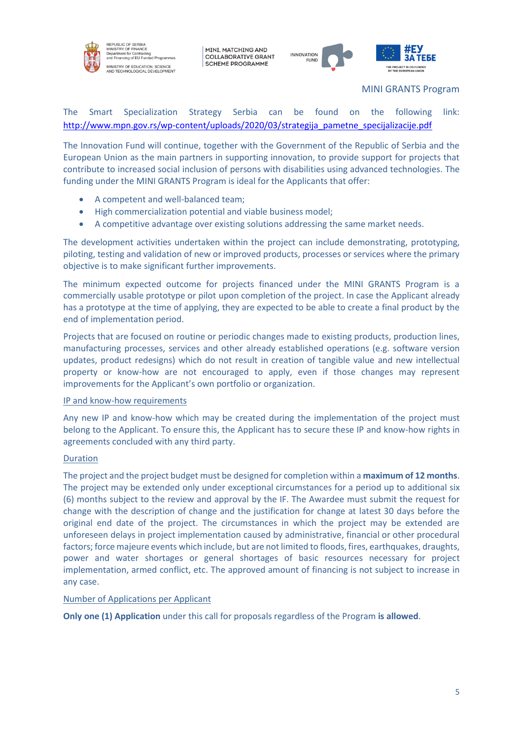



MINI GRANTS Program

The Smart Specialization Strategy Serbia can be found on the following link: [http://www.mpn.gov.rs/wp-content/uploads/2020/03/strategija\\_pametne\\_specijalizacije.pdf](http://www.mpn.gov.rs/wp-content/uploads/2020/03/strategija_pametne_specijalizacije.pdf)

The Innovation Fund will continue, together with the Government of the Republic of Serbia and the European Union as the main partners in supporting innovation, to provide support for projects that contribute to increased social inclusion of persons with disabilities using advanced technologies. The funding under the MINI GRANTS Program is ideal for the Applicants that offer:

- A competent and well-balanced team;
- High commercialization potential and viable business model;
- A competitive advantage over existing solutions addressing the same market needs.

The development activities undertaken within the project can include demonstrating, prototyping, piloting, testing and validation of new or improved products, processes or services where the primary objective is to make significant further improvements.

The minimum expected outcome for projects financed under the MINI GRANTS Program is a commercially usable prototype or pilot upon completion of the project. In case the Applicant already has a prototype at the time of applying, they are expected to be able to create a final product by the end of implementation period.

Projects that are focused on routine or periodic changes made to existing products, production lines, manufacturing processes, services and other already established operations (e.g. software version updates, product redesigns) which do not result in creation of tangible value and new intellectual property or know-how are not encouraged to apply, even if those changes may represent improvements for the Applicant's own portfolio or organization.

#### IP and know-how requirements

Any new IP and know-how which may be created during the implementation of the project must belong to the Applicant. To ensure this, the Applicant has to secure these IP and know-how rights in agreements concluded with any third party.

#### Duration

The project and the project budget must be designed for completion within a **maximum of 12 months**. The project may be extended only under exceptional circumstances for a period up to additional six (6) months subject to the review and approval by the IF. The Awardee must submit the request for change with the description of change and the justification for change at latest 30 days before the original end date of the project. The circumstances in which the project may be extended are unforeseen delays in project implementation caused by administrative, financial or other procedural factors; force majeure events which include, but are not limited to floods, fires, earthquakes, draughts, power and water shortages or general shortages of basic resources necessary for project implementation, armed conflict, etc. The approved amount of financing is not subject to increase in any case.

#### Number of Applications per Applicant

**Only one (1) Application** under this call for proposals regardless of the Program **is allowed**.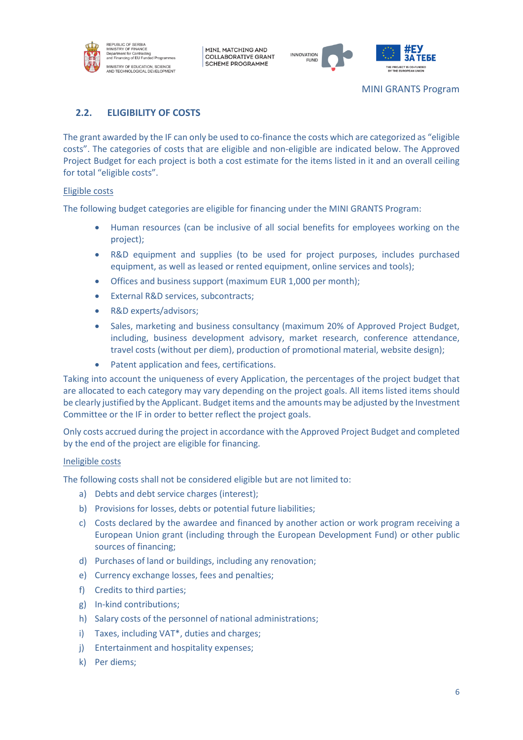



## <span id="page-8-0"></span>**2.2. ELIGIBILITY OF COSTS**

The grant awarded by the IF can only be used to co-finance the costs which are categorized as "eligible costs". The categories of costs that are eligible and non-eligible are indicated below. The Approved Project Budget for each project is both a cost estimate for the items listed in it and an overall ceiling for total "eligible costs".

#### Eligible costs

The following budget categories are eligible for financing under the MINI GRANTS Program:

- Human resources (can be inclusive of all social benefits for employees working on the project);
- R&D equipment and supplies (to be used for project purposes, includes purchased equipment, as well as leased or rented equipment, online services and tools);
- Offices and business support (maximum EUR 1,000 per month);
- External R&D services, subcontracts:
- R&D experts/advisors;
- Sales, marketing and business consultancy (maximum 20% of Approved Project Budget, including, business development advisory, market research, conference attendance, travel costs (without per diem), production of promotional material, website design);
- Patent application and fees, certifications.

Taking into account the uniqueness of every Application, the percentages of the project budget that are allocated to each category may vary depending on the project goals. All items listed items should be clearly justified by the Applicant. Budget items and the amounts may be adjusted by the Investment Committee or the IF in order to better reflect the project goals.

Only costs accrued during the project in accordance with the Approved Project Budget and completed by the end of the project are eligible for financing.

#### Ineligible costs

The following costs shall not be considered eligible but are not limited to:

- a) Debts and debt service charges (interest);
- b) Provisions for losses, debts or potential future liabilities;
- c) Costs declared by the awardee and financed by another action or work program receiving a European Union grant (including through the European Development Fund) or other public sources of financing;
- d) Purchases of land or buildings, including any renovation;
- e) Currency exchange losses, fees and penalties;
- f) Credits to third parties;
- g) In-kind contributions;
- h) Salary costs of the personnel of national administrations;
- i) Taxes, including VAT\*, duties and charges;
- j) Entertainment and hospitality expenses;
- k) Per diems;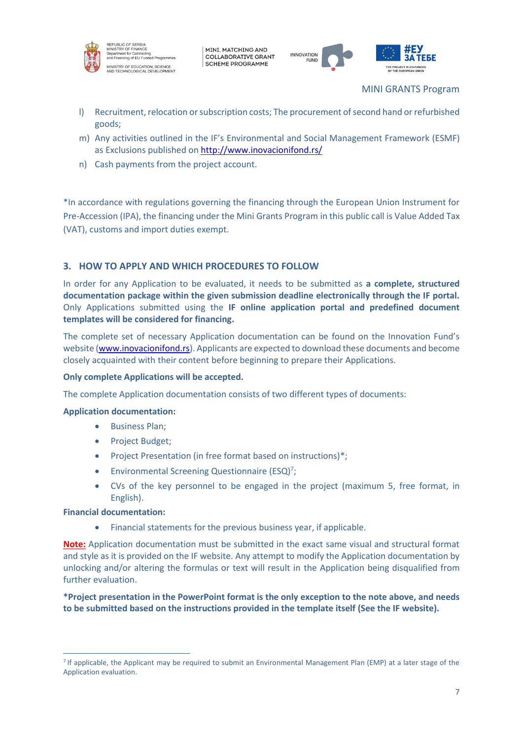



MINI GRANTS Program

- l) Recruitment, relocation or subscription costs; The procurement of second hand or refurbished goods;
- m) Any activities outlined in the IF's Environmental and Social Management Framework (ESMF) as Exclusions published on <http://www.inovacionifond.rs/>
- n) Cash payments from the project account.

\*In accordance with regulations governing the financing through the European Union Instrument for Pre-Accession (IPA), the financing under the Mini Grants Program in this public call is Value Added Tax (VAT), customs and import duties exempt.

## <span id="page-9-0"></span>**3. HOW TO APPLY AND WHICH PROCEDURES TO FOLLOW**

In order for any Application to be evaluated, it needs to be submitted as **a complete, structured documentation package within the given submission deadline electronically through the IF portal.** Only Applications submitted using the **IF online application portal and predefined document templates will be considered for financing.**

The complete set of necessary Application documentation can be found on the Innovation Fund's website [\(www.inovacionifond.rs\)](http://www.inovacionifond.rs/). Applicants are expected to download these documents and become closely acquainted with their content before beginning to prepare their Applications.

#### **Only complete Applications will be accepted.**

The complete Application documentation consists of two different types of documents:

#### **Application documentation:**

- Business Plan;
- Project Budget;
- Project Presentation (in free format based on instructions)\*;
- Environmental Screening Questionnaire (ESQ)<sup>7</sup>;
- CVs of the key personnel to be engaged in the project (maximum 5, free format, in English).

#### **Financial documentation:**

• Financial statements for the previous business year, if applicable.

**Note:** Application documentation must be submitted in the exact same visual and structural format and style as it is provided on the IF website. Any attempt to modify the Application documentation by unlocking and/or altering the formulas or text will result in the Application being disqualified from further evaluation.

**\*Project presentation in the PowerPoint format is the only exception to the note above, and needs to be submitted based on the instructions provided in the template itself (See the IF website).**

<sup>&</sup>lt;sup>7</sup> If applicable, the Applicant may be required to submit an Environmental Management Plan (EMP) at a later stage of the Application evaluation.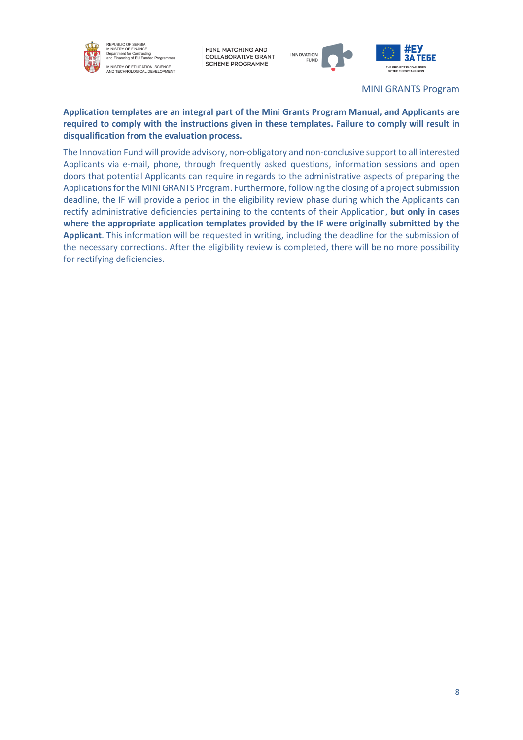

REPUBLIC OF SERBIA<br>MINISTRY OF FINANCE m⊓ਬਾਤ ਮਨ r On ਸਮਬਕਬਪਦ<br>Department for Contracting<br>and Financing of EU Funded Programmes .<br>MINISTRY OF EDUCATION, SCIENCE<br>NND TECHNOLOGICAL DEVELOPMENT

MINI, MATCHING AND **COLLABORATIVE GRANT SCHEME PROGRAMME** 



MINI GRANTS Program

## **Application templates are an integral part of the Mini Grants Program Manual, and Applicants are required to comply with the instructions given in these templates. Failure to comply will result in disqualification from the evaluation process.**

The Innovation Fund will provide advisory, non-obligatory and non-conclusive support to all interested Applicants via e-mail, phone, through frequently asked questions, information sessions and open doors that potential Applicants can require in regards to the administrative aspects of preparing the Applications for the MINI GRANTS Program. Furthermore, following the closing of a project submission deadline, the IF will provide a period in the eligibility review phase during which the Applicants can rectify administrative deficiencies pertaining to the contents of their Application, **but only in cases where the appropriate application templates provided by the IF were originally submitted by the Applicant**. This information will be requested in writing, including the deadline for the submission of the necessary corrections. After the eligibility review is completed, there will be no more possibility for rectifying deficiencies.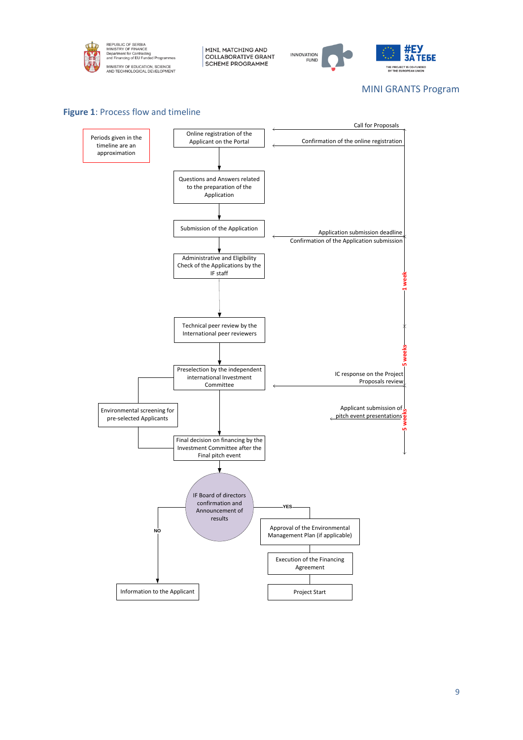



#### MINI GRANTS Program

#### **Figure 1**: Process flow and timeline

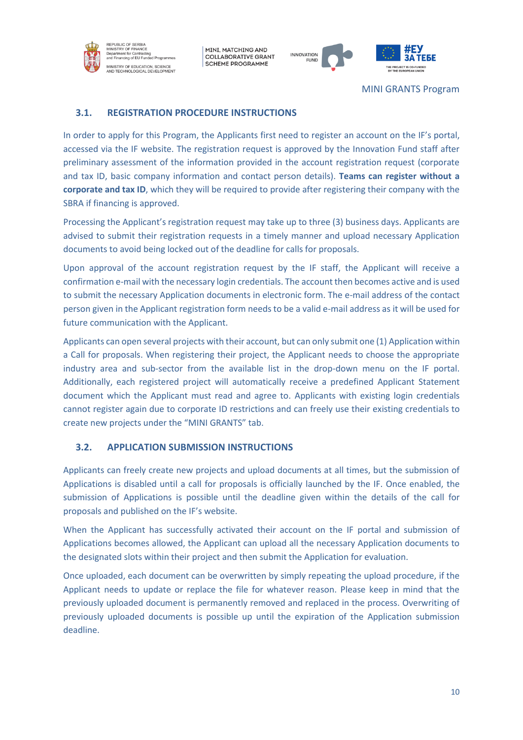



MINI GRANTS Program

## <span id="page-12-0"></span>**3.1. REGISTRATION PROCEDURE INSTRUCTIONS**

In order to apply for this Program, the Applicants first need to register an account on the IF's portal, accessed via the IF website. The registration request is approved by the Innovation Fund staff after preliminary assessment of the information provided in the account registration request (corporate and tax ID, basic company information and contact person details). **Teams can register without a corporate and tax ID**, which they will be required to provide after registering their company with the SBRA if financing is approved.

Processing the Applicant's registration request may take up to three (3) business days. Applicants are advised to submit their registration requests in a timely manner and upload necessary Application documents to avoid being locked out of the deadline for calls for proposals.

Upon approval of the account registration request by the IF staff, the Applicant will receive a confirmation e-mail with the necessary login credentials. The account then becomes active and is used to submit the necessary Application documents in electronic form. The e-mail address of the contact person given in the Applicant registration form needs to be a valid e-mail address as it will be used for future communication with the Applicant.

Applicants can open several projects with their account, but can only submit one (1) Application within a Call for proposals. When registering their project, the Applicant needs to choose the appropriate industry area and sub-sector from the available list in the drop-down menu on the IF portal. Additionally, each registered project will automatically receive a predefined Applicant Statement document which the Applicant must read and agree to. Applicants with existing login credentials cannot register again due to corporate ID restrictions and can freely use their existing credentials to create new projects under the "MINI GRANTS" tab.

# <span id="page-12-1"></span>**3.2. APPLICATION SUBMISSION INSTRUCTIONS**

Applicants can freely create new projects and upload documents at all times, but the submission of Applications is disabled until a call for proposals is officially launched by the IF. Once enabled, the submission of Applications is possible until the deadline given within the details of the call for proposals and published on the IF's website.

When the Applicant has successfully activated their account on the IF portal and submission of Applications becomes allowed, the Applicant can upload all the necessary Application documents to the designated slots within their project and then submit the Application for evaluation.

Once uploaded, each document can be overwritten by simply repeating the upload procedure, if the Applicant needs to update or replace the file for whatever reason. Please keep in mind that the previously uploaded document is permanently removed and replaced in the process. Overwriting of previously uploaded documents is possible up until the expiration of the Application submission deadline.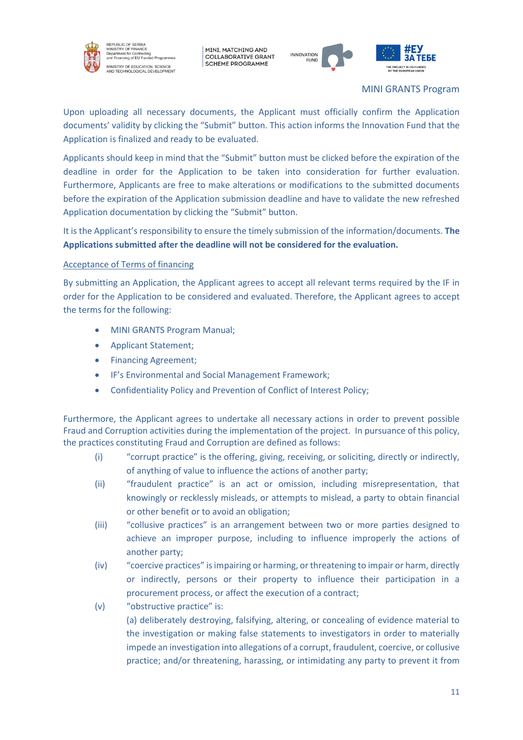

EPUBLIC OF SERBIA<br>INISTRY OF FINANCE n Union<br>Int for Co **Superintent for Contracting**<br>and Financing of EU Funded Programr .<br>IINISTRY OF EDUCATION, SCIENCE<br>ND TECHNOLOGICAL DEVELOPMENT

MINI, MATCHING AND **COLLABORATIVE GRANT SCHEME PROGRAMME** 



MINI GRANTS Program

Upon uploading all necessary documents, the Applicant must officially confirm the Application documents' validity by clicking the "Submit" button. This action informs the Innovation Fund that the Application is finalized and ready to be evaluated.

Applicants should keep in mind that the "Submit" button must be clicked before the expiration of the deadline in order for the Application to be taken into consideration for further evaluation. Furthermore, Applicants are free to make alterations or modifications to the submitted documents before the expiration of the Application submission deadline and have to validate the new refreshed Application documentation by clicking the "Submit" button.

It is the Applicant's responsibility to ensure the timely submission of the information/documents. **The Applications submitted after the deadline will not be considered for the evaluation.**

## Acceptance of Terms of financing

By submitting an Application, the Applicant agrees to accept all relevant terms required by the IF in order for the Application to be considered and evaluated. Therefore, the Applicant agrees to accept the terms for the following:

- MINI GRANTS Program Manual;
- Applicant Statement;
- Financing Agreement;
- IF's Environmental and Social Management Framework;
- Confidentiality Policy and Prevention of Conflict of Interest Policy;

Furthermore, the Applicant agrees to undertake all necessary actions in order to prevent possible Fraud and Corruption activities during the implementation of the project. In pursuance of this policy, the practices constituting Fraud and Corruption are defined as follows:

- (i) "corrupt practice" is the offering, giving, receiving, or soliciting, directly or indirectly, of anything of value to influence the actions of another party;
- (ii) "fraudulent practice" is an act or omission, including misrepresentation, that knowingly or recklessly misleads, or attempts to mislead, a party to obtain financial or other benefit or to avoid an obligation;
- (iii) "collusive practices" is an arrangement between two or more parties designed to achieve an improper purpose, including to influence improperly the actions of another party;
- (iv) "coercive practices" is impairing or harming, or threatening to impair or harm, directly or indirectly, persons or their property to influence their participation in a procurement process, or affect the execution of a contract;
- (v) "obstructive practice" is:

(a) deliberately destroying, falsifying, altering, or concealing of evidence material to the investigation or making false statements to investigators in order to materially impede an investigation into allegations of a corrupt, fraudulent, coercive, or collusive practice; and/or threatening, harassing, or intimidating any party to prevent it from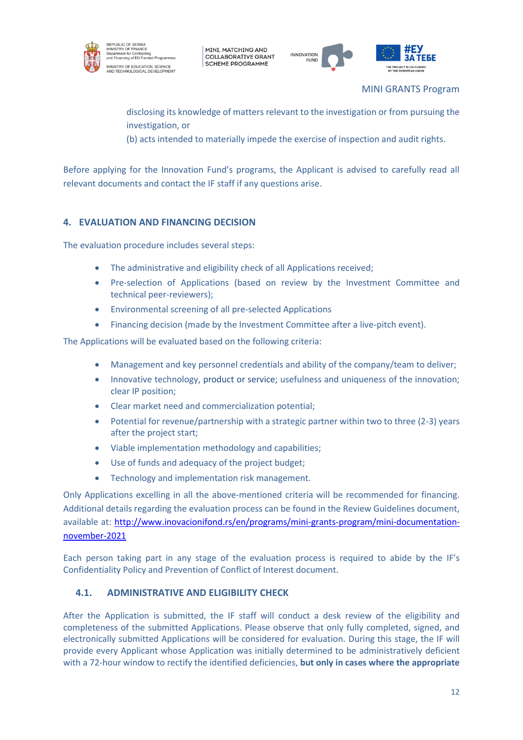



MINI GRANTS Program

disclosing its knowledge of matters relevant to the investigation or from pursuing the investigation, or

(b) acts intended to materially impede the exercise of inspection and audit rights.

Before applying for the Innovation Fund's programs, the Applicant is advised to carefully read all relevant documents and contact the IF staff if any questions arise.

## <span id="page-14-0"></span>**4. EVALUATION AND FINANCING DECISION**

The evaluation procedure includes several steps:

- The administrative and eligibility check of all Applications received;
- Pre-selection of Applications (based on review by the Investment Committee and technical peer-reviewers);
- Environmental screening of all pre-selected Applications
- Financing decision (made by the Investment Committee after a live-pitch event).

The Applications will be evaluated based on the following criteria:

- Management and key personnel credentials and ability of the company/team to deliver;
- Innovative technology, product or service; usefulness and uniqueness of the innovation; clear IP position;
- Clear market need and commercialization potential;
- Potential for revenue/partnership with a strategic partner within two to three (2-3) years after the project start;
- Viable implementation methodology and capabilities;
- Use of funds and adequacy of the project budget;
- Technology and implementation risk management.

Only Applications excelling in all the above-mentioned criteria will be recommended for financing. Additional details regarding the evaluation process can be found in the Review Guidelines document, available at: [http://www.inovacionifond.rs/en/programs/mini-grants-program/mini-documentation](http://www.inovacionifond.rs/en/programs/mini-grants-program/mini-documentation-november-2021)[november-2021](http://www.inovacionifond.rs/en/programs/mini-grants-program/mini-documentation-november-2021)

Each person taking part in any stage of the evaluation process is required to abide by the IF's Confidentiality Policy and Prevention of Conflict of Interest document.

## <span id="page-14-1"></span>**4.1. ADMINISTRATIVE AND ELIGIBILITY CHECK**

After the Application is submitted, the IF staff will conduct a desk review of the eligibility and completeness of the submitted Applications. Please observe that only fully completed, signed, and electronically submitted Applications will be considered for evaluation. During this stage, the IF will provide every Applicant whose Application was initially determined to be administratively deficient with a 72-hour window to rectify the identified deficiencies, **but only in cases where the appropriate**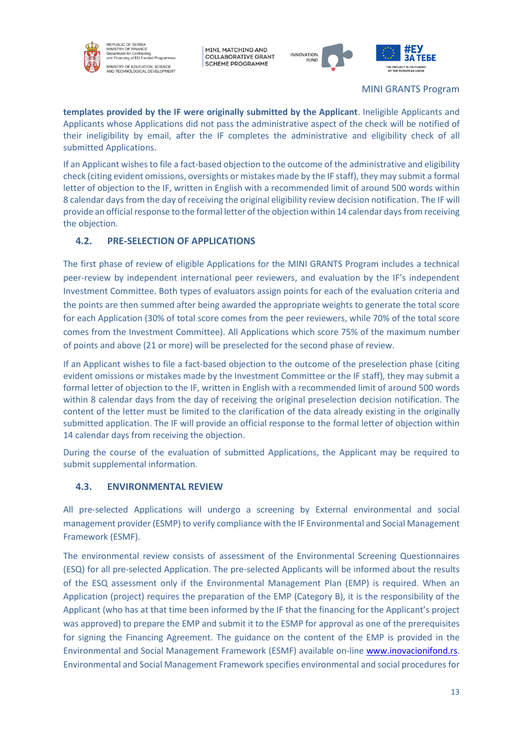



MINI GRANTS Program

**templates provided by the IF were originally submitted by the Applicant**. Ineligible Applicants and Applicants whose Applications did not pass the administrative aspect of the check will be notified of their ineligibility by email, after the IF completes the administrative and eligibility check of all submitted Applications.

If an Applicant wishes to file a fact-based objection to the outcome of the administrative and eligibility check (citing evident omissions, oversights or mistakes made by the IF staff), they may submit a formal letter of objection to the IF, written in English with a recommended limit of around 500 words within 8 calendar days from the day of receiving the original eligibility review decision notification. The IF will provide an official response to the formal letter of the objection within 14 calendar daysfrom receiving the objection.

## <span id="page-15-0"></span>**4.2. PRE-SELECTION OF APPLICATIONS**

The first phase of review of eligible Applications for the MINI GRANTS Program includes a technical peer-review by independent international peer reviewers, and evaluation by the IF's independent Investment Committee. Both types of evaluators assign points for each of the evaluation criteria and the points are then summed after being awarded the appropriate weights to generate the total score for each Application (30% of total score comes from the peer reviewers, while 70% of the total score comes from the Investment Committee). All Applications which score 75% of the maximum number of points and above (21 or more) will be preselected for the second phase of review.

If an Applicant wishes to file a fact-based objection to the outcome of the preselection phase (citing evident omissions or mistakes made by the Investment Committee or the IF staff), they may submit a formal letter of objection to the IF, written in English with a recommended limit of around 500 words within 8 calendar days from the day of receiving the original preselection decision notification. The content of the letter must be limited to the clarification of the data already existing in the originally submitted application. The IF will provide an official response to the formal letter of objection within 14 calendar days from receiving the objection.

During the course of the evaluation of submitted Applications, the Applicant may be required to submit supplemental information.

## <span id="page-15-1"></span>**4.3. ENVIRONMENTAL REVIEW**

All pre-selected Applications will undergo a screening by External environmental and social management provider (ESMP) to verify compliance with the IF Environmental and Social Management Framework (ESMF).

The environmental review consists of assessment of the Environmental Screening Questionnaires (ESQ) for all pre-selected Application. The pre-selected Applicants will be informed about the results of the ESQ assessment only if the Environmental Management Plan (EMP) is required. When an Application (project) requires the preparation of the EMP (Category B), it is the responsibility of the Applicant (who has at that time been informed by the IF that the financing for the Applicant's project was approved) to prepare the EMP and submit it to the ESMP for approval as one of the prerequisites for signing the Financing Agreement. The guidance on the content of the EMP is provided in the Environmental and Social Management Framework (ESMF) available on-line [www.inovacionifond.rs.](http://www.inovacionifond.rs/) Environmental and Social Management Framework specifies environmental and social procedures for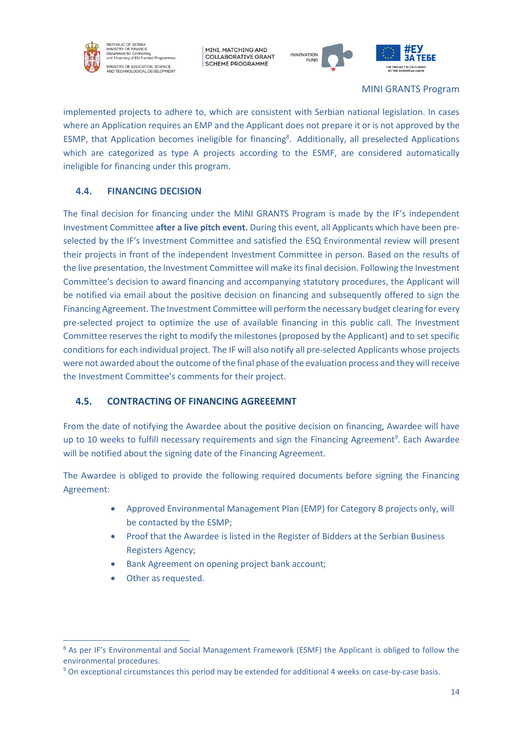

EPUBLIC OF SERBIA<br>NISTRY OF FINANCI and Financing of EU Funded Program .<br>INISTRY OF EDUCATION, SCIENCE<br>ND TECHNOLOGICAL DEVELOPMENT

MINI, MATCHING AND **COLLABORATIVE GRANT SCHEME PROGRAMME** 





#### MINI GRANTS Program

implemented projects to adhere to, which are consistent with Serbian national legislation. In cases where an Application requires an EMP and the Applicant does not prepare it or is not approved by the ESMP, that Application becomes ineligible for financing<sup>8</sup>. Additionally, all preselected Applications which are categorized as type A projects according to the ESMF, are considered automatically ineligible for financing under this program.

# <span id="page-16-0"></span>**4.4. FINANCING DECISION**

The final decision for financing under the MINI GRANTS Program is made by the IF's independent Investment Committee **after a live pitch event.** During this event, all Applicants which have been preselected by the IF's Investment Committee and satisfied the ESQ Environmental review will present their projects in front of the independent Investment Committee in person. Based on the results of the live presentation, the Investment Committee will make its final decision. Following the Investment Committee's decision to award financing and accompanying statutory procedures, the Applicant will be notified via email about the positive decision on financing and subsequently offered to sign the Financing Agreement. The Investment Committee will perform the necessary budget clearing for every pre-selected project to optimize the use of available financing in this public call. The Investment Committee reserves the right to modify the milestones (proposed by the Applicant) and to set specific conditions for each individual project. The IF will also notify all pre-selected Applicants whose projects were not awarded about the outcome of the final phase of the evaluation process and they will receive the Investment Committee's comments for their project.

# <span id="page-16-1"></span>**4.5. CONTRACTING OF FINANCING AGREEEMNT**

From the date of notifying the Awardee about the positive decision on financing, Awardee will have up to 10 weeks to fulfill necessary requirements and sign the Financing Agreement<sup>9</sup>. Each Awardee will be notified about the signing date of the Financing Agreement.

The Awardee is obliged to provide the following required documents before signing the Financing Agreement:

- Approved Environmental Management Plan (EMP) for Category B projects only, will be contacted by the ESMP;
- Proof that the Awardee is listed in the Register of Bidders at the Serbian Business Registers Agency;
- Bank Agreement on opening project bank account;
- Other as requested.

<sup>&</sup>lt;sup>8</sup> As per IF's Environmental and Social Management Framework (ESMF) the Applicant is obliged to follow the environmental procedures.

<sup>&</sup>lt;sup>9</sup> On exceptional circumstances this period may be extended for additional 4 weeks on case-by-case basis.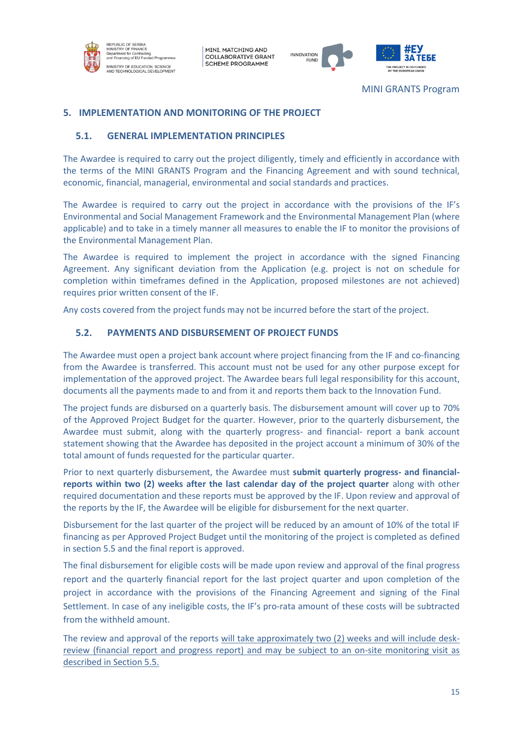



MINI GRANTS Program

## <span id="page-17-0"></span>**5. IMPLEMENTATION AND MONITORING OF THE PROJECT**

#### <span id="page-17-1"></span>**5.1. GENERAL IMPLEMENTATION PRINCIPLES**

The Awardee is required to carry out the project diligently, timely and efficiently in accordance with the terms of the MINI GRANTS Program and the Financing Agreement and with sound technical, economic, financial, managerial, environmental and social standards and practices.

The Awardee is required to carry out the project in accordance with the provisions of the IF's Environmental and Social Management Framework and the Environmental Management Plan (where applicable) and to take in a timely manner all measures to enable the IF to monitor the provisions of the Environmental Management Plan.

The Awardee is required to implement the project in accordance with the signed Financing Agreement. Any significant deviation from the Application (e.g. project is not on schedule for completion within timeframes defined in the Application, proposed milestones are not achieved) requires prior written consent of the IF.

Any costs covered from the project funds may not be incurred before the start of the project.

### <span id="page-17-2"></span>**5.2. PAYMENTS AND DISBURSEMENT OF PROJECT FUNDS**

The Awardee must open a project bank account where project financing from the IF and co-financing from the Awardee is transferred. This account must not be used for any other purpose except for implementation of the approved project. The Awardee bears full legal responsibility for this account, documents all the payments made to and from it and reports them back to the Innovation Fund.

The project funds are disbursed on a quarterly basis. The disbursement amount will cover up to 70% of the Approved Project Budget for the quarter. However, prior to the quarterly disbursement, the Awardee must submit, along with the quarterly progress- and financial- report a bank account statement showing that the Awardee has deposited in the project account a minimum of 30% of the total amount of funds requested for the particular quarter.

Prior to next quarterly disbursement, the Awardee must **submit quarterly progress- and financialreports within two (2) weeks after the last calendar day of the project quarter** along with other required documentation and these reports must be approved by the IF. Upon review and approval of the reports by the IF, the Awardee will be eligible for disbursement for the next quarter.

Disbursement for the last quarter of the project will be reduced by an amount of 10% of the total IF financing as per Approved Project Budget until the monitoring of the project is completed as defined in section 5.5 and the final report is approved.

The final disbursement for eligible costs will be made upon review and approval of the final progress report and the quarterly financial report for the last project quarter and upon completion of the project in accordance with the provisions of the Financing Agreement and signing of the Final Settlement. In case of any ineligible costs, the IF's pro-rata amount of these costs will be subtracted from the withheld amount.

The review and approval of the reports will take approximately two (2) weeks and will include deskreview (financial report and progress report) and may be subject to an on-site monitoring visit as described in Section 5.5.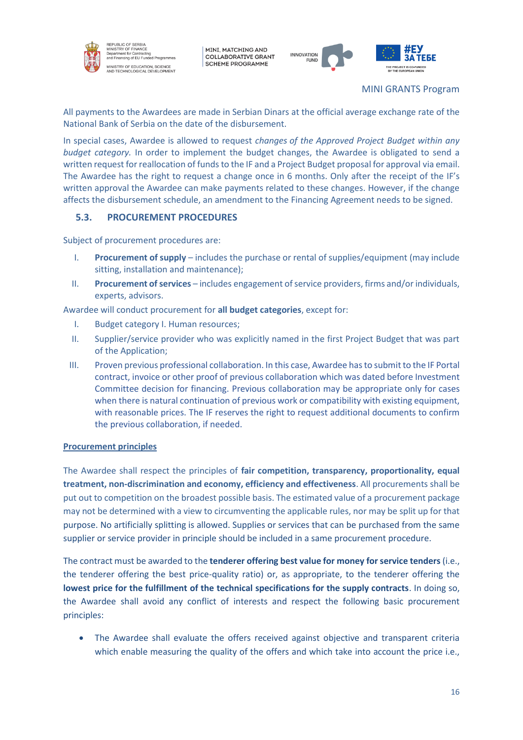

EPUBLIC OF SERBIA<br>NISTRY OF FINANCE nt for Co nd Financing of EU Funded Program .<br>IINISTRY OF EDUCATION, SCIENCE<br>ND TECHNOLOGICAL DEVELOPMENT

MINI, MATCHING AND **COLLABORATIVE GRANT SCHEME PROGRAMME** 



MINI GRANTS Program

All payments to the Awardees are made in Serbian Dinars at the official average exchange rate of the National Bank of Serbia on the date of the disbursement.

In special cases, Awardee is allowed to request *changes of the Approved Project Budget within any budget category.* In order to implement the budget changes, the Awardee is obligated to send a written request for reallocation of funds to the IF and a Project Budget proposal for approval via email. The Awardee has the right to request a change once in 6 months. Only after the receipt of the IF's written approval the Awardee can make payments related to these changes. However, if the change affects the disbursement schedule, an amendment to the Financing Agreement needs to be signed.

## <span id="page-18-0"></span>**5.3. PROCUREMENT PROCEDURES**

Subject of procurement procedures are:

- I. **Procurement of supply** includes the purchase or rental of supplies/equipment (may include sitting, installation and maintenance);
- II. **Procurement of services** includes engagement of service providers, firms and/or individuals, experts, advisors.

Awardee will conduct procurement for **all budget categories**, except for:

- I. Budget category I. Human resources;
- II. Supplier/service provider who was explicitly named in the first Project Budget that was part of the Application;
- III. Proven previous professional collaboration. In this case, Awardee has to submit to the IF Portal contract, invoice or other proof of previous collaboration which was dated before Investment Committee decision for financing. Previous collaboration may be appropriate only for cases when there is natural continuation of previous work or compatibility with existing equipment, with reasonable prices. The IF reserves the right to request additional documents to confirm the previous collaboration, if needed.

#### **Procurement principles**

The Awardee shall respect the principles of **fair competition, transparency, proportionality, equal treatment, non-discrimination and economy, efficiency and effectiveness**. All procurements shall be put out to competition on the broadest possible basis. The estimated value of a procurement package may not be determined with a view to circumventing the applicable rules, nor may be split up for that purpose. No artificially splitting is allowed. Supplies or services that can be purchased from the same supplier or service provider in principle should be included in a same procurement procedure.

The contract must be awarded to the **tenderer offering best value for money for service tenders** (i.e., the tenderer offering the best price-quality ratio) or, as appropriate, to the tenderer offering the **lowest price for the fulfillment of the technical specifications for the supply contracts**. In doing so, the Awardee shall avoid any conflict of interests and respect the following basic procurement principles:

• The Awardee shall evaluate the offers received against objective and transparent criteria which enable measuring the quality of the offers and which take into account the price i.e.,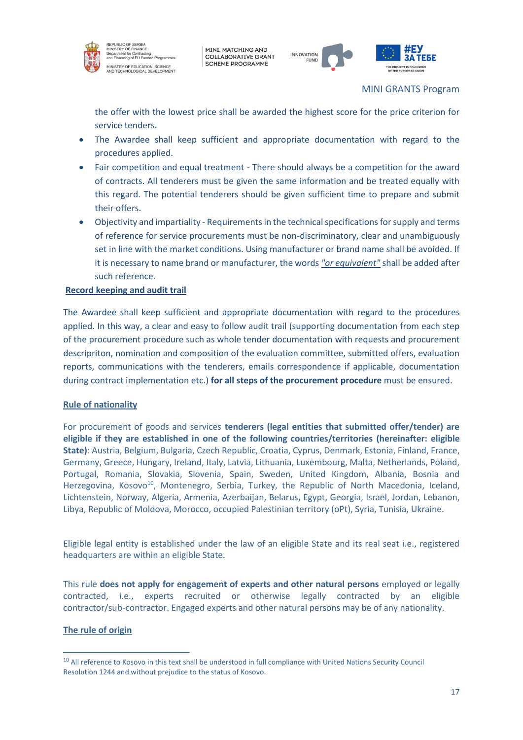



#### MINI GRANTS Program

the offer with the lowest price shall be awarded the highest score for the price criterion for service tenders.

- The Awardee shall keep sufficient and appropriate documentation with regard to the procedures applied.
- Fair competition and equal treatment There should always be a competition for the award of contracts. All tenderers must be given the same information and be treated equally with this regard. The potential tenderers should be given sufficient time to prepare and submit their offers.
- Objectivity and impartiality Requirements in the technical specifications for supply and terms of reference for service procurements must be non-discriminatory, clear and unambiguously set in line with the market conditions. Using manufacturer or brand name shall be avoided. If it is necessary to name brand or manufacturer, the words *"or equivalent"* shall be added after such reference.

#### **Record keeping and audit trail**

The Awardee shall keep sufficient and appropriate documentation with regard to the procedures applied. In this way, a clear and easy to follow audit trail (supporting documentation from each step of the procurement procedure such as whole tender documentation with requests and procurement descripriton, nomination and composition of the evaluation committee, submitted offers, evaluation reports, communications with the tenderers, emails correspondence if applicable, documentation during contract implementation etc.) **for all steps of the procurement procedure** must be ensured.

#### **Rule of nationality**

For procurement of goods and services **tenderers (legal entities that submitted offer/tender) are eligible if they are established in one of the following countries/territories (hereinafter: eligible State)**: Austria, Belgium, Bulgaria, Czech Republic, Croatia, Cyprus, Denmark, Estonia, Finland, France, Germany, Greece, Hungary, Ireland, Italy, Latvia, Lithuania, Luxembourg, Malta, Netherlands, Poland, Portugal, Romania, Slovakia, Slovenia, Spain, Sweden, United Kingdom, Albania, Bosnia and Herzegovina, Kosovo<sup>10</sup>, Montenegro, Serbia, Turkey, the Republic of North Macedonia, Iceland, Lichtenstein, Norway, Algeria, Armenia, Azerbaijan, Belarus, Egypt, Georgia, Israel, Jordan, Lebanon, Libya, Republic of Moldova, Morocco, occupied Palestinian territory (oPt), Syria, Tunisia, Ukraine.

Eligible legal entity is established under the law of an eligible State and its real seat i.e., registered headquarters are within an eligible State.

Тhis rule **does not apply for engagement of experts and other natural persons** employed or legally contracted, i.e., experts recruited or otherwise legally contracted by an eligible contractor/sub‑contractor. Engaged experts and other natural persons may be of any nationality.

#### **The rule of origin**

<sup>&</sup>lt;sup>10</sup> All reference to Kosovo in this text shall be understood in full compliance with United Nations Security Council Resolution 1244 and without prejudice to the status of Kosovo.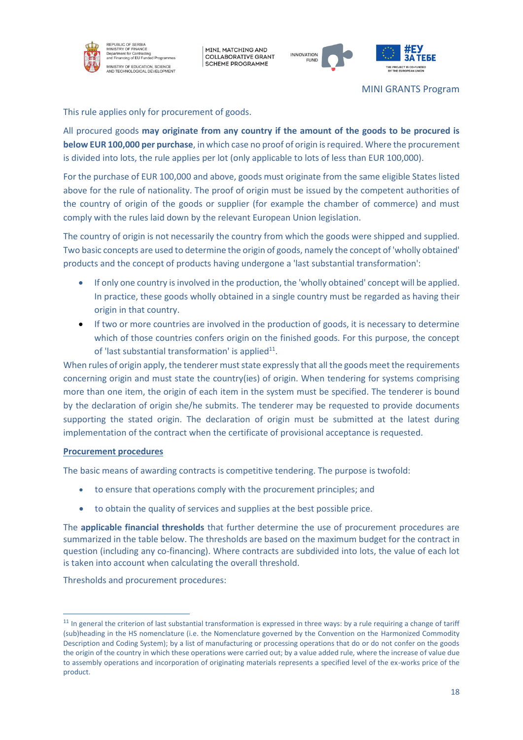

EPUBLIC OF SERBIA<br>NISTRY OF FINANCE ਅਸਚਤਾ ਸਮਾਜਰਮ<br>Department for Contracting<br>and Financing of EU Funded Programr .<br>MINISTRY OF EDUCATION, SCIENCE<br>NND TECHNOLOGICAL DEVELOPMENT

MINI, MATCHING AND **COLLABORATIVE GRANT SCHEME PROGRAMME** 



MINI GRANTS Program

This rule applies only for procurement of goods.

All procured goods **may originate from any country if the amount of the goods to be procured is below EUR 100,000 per purchase**, in which case no proof of origin is required. Where the procurement is divided into lots, the rule applies per lot (only applicable to lots of less than EUR 100,000).

For the purchase of EUR 100,000 and above, goods must originate from the same eligible States listed above for the rule of nationality. The proof of origin must be issued by the competent authorities of the country of origin of the goods or supplier (for example the chamber of commerce) and must comply with the rules laid down by the relevant European Union legislation.

The country of origin is not necessarily the country from which the goods were shipped and supplied. Two basic concepts are used to determine the origin of goods, namely the concept of 'wholly obtained' products and the concept of products having undergone a 'last substantial transformation':

- If only one country is involved in the production, the 'wholly obtained' concept will be applied. In practice, these goods wholly obtained in a single country must be regarded as having their origin in that country.
- If two or more countries are involved in the production of goods, it is necessary to determine which of those countries confers origin on the finished goods. For this purpose, the concept of 'last substantial transformation' is applied<sup>11</sup>.

When rules of origin apply, the tenderer must state expressly that all the goods meet the requirements concerning origin and must state the country(ies) of origin. When tendering for systems comprising more than one item, the origin of each item in the system must be specified. The tenderer is bound by the declaration of origin she/he submits. The tenderer may be requested to provide documents supporting the stated origin. The declaration of origin must be submitted at the latest during implementation of the contract when the certificate of provisional acceptance is requested.

#### **Procurement procedures**

The basic means of awarding contracts is competitive tendering. The purpose is twofold:

- to ensure that operations comply with the procurement principles; and
- to obtain the quality of services and supplies at the best possible price.

The **applicable financial thresholds** that further determine the use of procurement procedures are summarized in the table below. The thresholds are based on the maximum budget for the contract in question (including any co-financing). Where contracts are subdivided into lots, the value of each lot is taken into account when calculating the overall threshold.

Thresholds and procurement procedures:

 $11$  In general the criterion of last substantial transformation is expressed in three ways: by a rule requiring a change of tariff (sub)heading in the HS nomenclature (i.e. the Nomenclature governed by the Convention on the Harmonized Commodity Description and Coding System); by a list of manufacturing or processing operations that do or do not confer on the goods the origin of the country in which these operations were carried out; by a value added rule, where the increase of value due to assembly operations and incorporation of originating materials represents a specified level of the ex-works price of the product.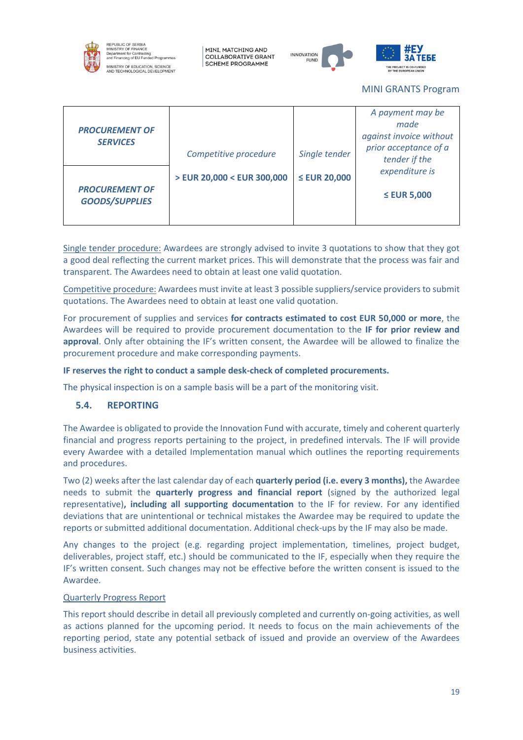

EPUBLIC OF SERBIA<br>NISTRY OF FINANCI nt for C **Superintent for Contracting**<br>and Financing of EU Funded Programme INISTRY OF EDUCATION, SCIENCE<br>ND TECHNOLOGICAL DEVELOPMENT

MINI, MATCHING AND **COLLABORATIVE GRANT SCHEME PROGRAMME** 





#### MINI GRANTS Program

|                                                |                            |                   | A payment may be                       |
|------------------------------------------------|----------------------------|-------------------|----------------------------------------|
|                                                |                            |                   | made                                   |
| <b>PROCUREMENT OF</b>                          |                            |                   | against invoice without                |
| <b>SERVICES</b>                                | Competitive procedure      | Single tender     | prior acceptance of a<br>tender if the |
|                                                | > EUR 20,000 < EUR 300,000 | $\leq$ EUR 20,000 | expenditure is                         |
| <b>PROCUREMENT OF</b><br><b>GOODS/SUPPLIES</b> |                            |                   | $\leq$ EUR 5,000                       |
|                                                |                            |                   |                                        |

Single tender procedure: Awardees are strongly advised to invite 3 quotations to show that they got a good deal reflecting the current market prices. This will demonstrate that the process was fair and transparent. The Awardees need to obtain at least one valid quotation.

Competitive procedure: Awardees must invite at least 3 possible suppliers/service providers to submit quotations. The Awardees need to obtain at least one valid quotation.

For procurement of supplies and services **for contracts estimated to cost EUR 50,000 or more**, the Awardees will be required to provide procurement documentation to the **IF for prior review and approval**. Only after obtaining the IF's written consent, the Awardee will be allowed to finalize the procurement procedure and make corresponding payments.

#### **IF reserves the right to conduct a sample desk-check of completed procurements.**

The physical inspection is on a sample basis will be a part of the monitoring visit.

#### <span id="page-21-0"></span>**5.4. REPORTING**

The Awardee is obligated to provide the Innovation Fund with accurate, timely and coherent quarterly financial and progress reports pertaining to the project, in predefined intervals. The IF will provide every Awardee with a detailed Implementation manual which outlines the reporting requirements and procedures.

Two (2) weeks after the last calendar day of each **quarterly period (i.e. every 3 months),** the Awardee needs to submit the **quarterly progress and financial report** (signed by the authorized legal representative)**, including all supporting documentation** to the IF for review. For any identified deviations that are unintentional or technical mistakes the Awardee may be required to update the reports or submitted additional documentation. Additional check-ups by the IF may also be made.

Any changes to the project (e.g. regarding project implementation, timelines, project budget, deliverables, project staff, etc.) should be communicated to the IF, especially when they require the IF's written consent. Such changes may not be effective before the written consent is issued to the Awardee.

## Quarterly Progress Report

This report should describe in detail all previously completed and currently on-going activities, as well as actions planned for the upcoming period. It needs to focus on the main achievements of the reporting period, state any potential setback of issued and provide an overview of the Awardees business activities.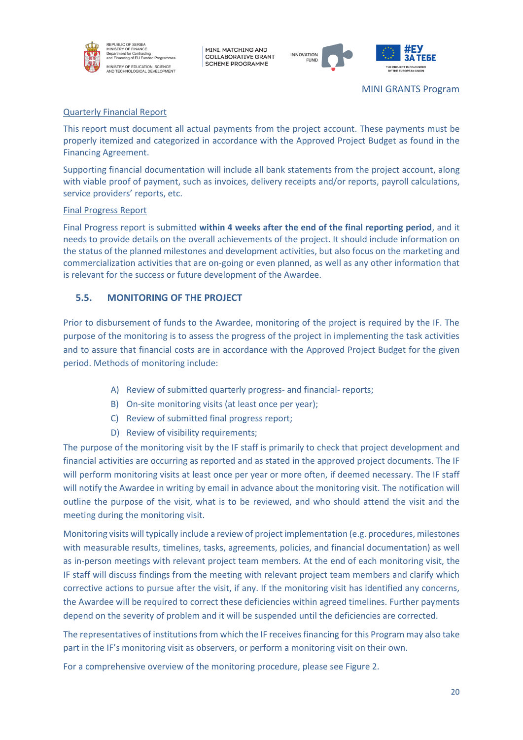

REPUBLIC OF SERBIA<br>MINISTRY OF FINANCE n Union<br>Int for Co poparunont for contracting<br>and Financing of EU Funded Programme .<br>INISTRY OF EDUCATION, SCIENCE<br>ND TECHNOLOGICAL DEVELOPMENT

MINI, MATCHING AND **COLLABORATIVE GRANT SCHEME PROGRAMME** 



MINI GRANTS Program

## Quarterly Financial Report

This report must document all actual payments from the project account. These payments must be properly itemized and categorized in accordance with the Approved Project Budget as found in the Financing Agreement.

Supporting financial documentation will include all bank statements from the project account, along with viable proof of payment, such as invoices, delivery receipts and/or reports, payroll calculations, service providers' reports, etc.

#### Final Progress Report

Final Progress report is submitted **within 4 weeks after the end of the final reporting period**, and it needs to provide details on the overall achievements of the project. It should include information on the status of the planned milestones and development activities, but also focus on the marketing and commercialization activities that are on-going or even planned, as well as any other information that is relevant for the success or future development of the Awardee.

### <span id="page-22-0"></span>**5.5. MONITORING OF THE PROJECT**

Prior to disbursement of funds to the Awardee, monitoring of the project is required by the IF. The purpose of the monitoring is to assess the progress of the project in implementing the task activities and to assure that financial costs are in accordance with the Approved Project Budget for the given period. Methods of monitoring include:

- A) Review of submitted quarterly progress- and financial- reports;
- B) On-site monitoring visits (at least once per year);
- C) Review of submitted final progress report;
- D) Review of visibility requirements;

The purpose of the monitoring visit by the IF staff is primarily to check that project development and financial activities are occurring as reported and as stated in the approved project documents. The IF will perform monitoring visits at least once per year or more often, if deemed necessary. The IF staff will notify the Awardee in writing by email in advance about the monitoring visit. The notification will outline the purpose of the visit, what is to be reviewed, and who should attend the visit and the meeting during the monitoring visit.

Monitoring visits will typically include a review of project implementation (e.g. procedures, milestones with measurable results, timelines, tasks, agreements, policies, and financial documentation) as well as in-person meetings with relevant project team members. At the end of each monitoring visit, the IF staff will discuss findings from the meeting with relevant project team members and clarify which corrective actions to pursue after the visit, if any. If the monitoring visit has identified any concerns, the Awardee will be required to correct these deficiencies within agreed timelines. Further payments depend on the severity of problem and it will be suspended until the deficiencies are corrected.

The representatives of institutions from which the IF receives financing for this Program may also take part in the IF's monitoring visit as observers, or perform a monitoring visit on their own.

For a comprehensive overview of the monitoring procedure, please see Figure 2.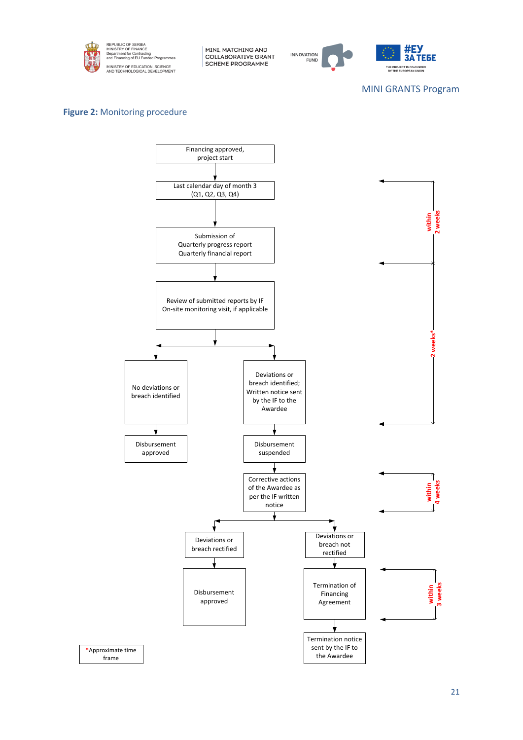



MINI GRANTS Program

## **Figure 2:** Monitoring procedure